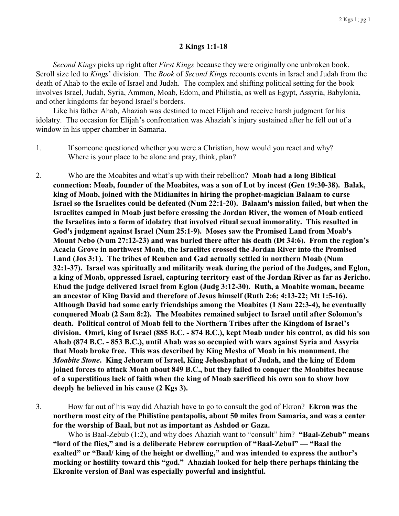## **2 Kings 1:1-18**

*Second Kings* picks up right after *First Kings* because they were originally one unbroken book. Scroll size led to *Kings*' division. The *Book* of *Second Kings* recounts events in Israel and Judah from the death of Ahab to the exile of Israel and Judah. The complex and shifting political setting for the book involves Israel, Judah, Syria, Ammon, Moab, Edom, and Philistia, as well as Egypt, Assyria, Babylonia, and other kingdoms far beyond Israel's borders.

Like his father Ahab, Ahaziah was destined to meet Elijah and receive harsh judgment for his idolatry. The occasion for Elijah's confrontation was Ahaziah's injury sustained after he fell out of a window in his upper chamber in Samaria.

- 1. If someone questioned whether you were a Christian, how would you react and why? Where is your place to be alone and pray, think, plan?
- 2. Who are the Moabites and what's up with their rebellion? **Moab had a long Biblical connection: Moab, founder of the Moabites, was a son of Lot by incest (Gen 19:30-38). Balak, king of Moab, joined with the Midianites in hiring the prophet-magician Balaam to curse Israel so the Israelites could be defeated (Num 22:1-20). Balaam's mission failed, but when the Israelites camped in Moab just before crossing the Jordan River, the women of Moab enticed the Israelites into a form of idolatry that involved ritual sexual immorality. This resulted in God's judgment against Israel (Num 25:1-9). Moses saw the Promised Land from Moab's Mount Nebo (Num 27:12-23) and was buried there after his death (Dt 34:6). From the region's Acacia Grove in northwest Moab, the Israelites crossed the Jordan River into the Promised Land (Jos 3:1). The tribes of Reuben and Gad actually settled in northern Moab (Num 32:1-37). Israel was spiritually and militarily weak during the period of the Judges, and Eglon, a king of Moab, oppressed Israel, capturing territory east of the Jordan River as far as Jericho. Ehud the judge delivered Israel from Eglon (Judg 3:12-30). Ruth, a Moabite woman, became an ancestor of King David and therefore of Jesus himself (Ruth 2:6; 4:13-22; Mt 1:5-16). Although David had some early friendships among the Moabites (1 Sam 22:3-4), he eventually conquered Moab (2 Sam 8:2). The Moabites remained subject to Israel until after Solomon's death. Political control of Moab fell to the Northern Tribes after the Kingdom of Israel's division. Omri, king of Israel (885 B.C. - 874 B.C.), kept Moab under his control, as did his son Ahab (874 B.C. - 853 B.C.), until Ahab was so occupied with wars against Syria and Assyria that Moab broke free. This was described by King Mesha of Moab in his monument, the** *Moabite Stone***. King Jehoram of Israel, King Jehoshaphat of Judah, and the king of Edom joined forces to attack Moab about 849 B.C., but they failed to conquer the Moabites because of a superstitious lack of faith when the king of Moab sacrificed his own son to show how deeply he believed in his cause (2 Kgs 3).**
- 3. How far out of his way did Ahaziah have to go to consult the god of Ekron? **Ekron was the northern most city of the Philistine pentapolis, about 50 miles from Samaria, and was a center for the worship of Baal, but not as important as Ashdod or Gaza.**

Who is Baal-Zebub (1:2), and why does Ahaziah want to "consult" him? **"Baal-Zebub" means "lord of the flies," and is a deliberate Hebrew corruption of "Baal-Zebul" — "Baal the exalted" or "Baal/ king of the height or dwelling," and was intended to express the author's mocking or hostility toward this "god." Ahaziah looked for help there perhaps thinking the Ekronite version of Baal was especially powerful and insightful.**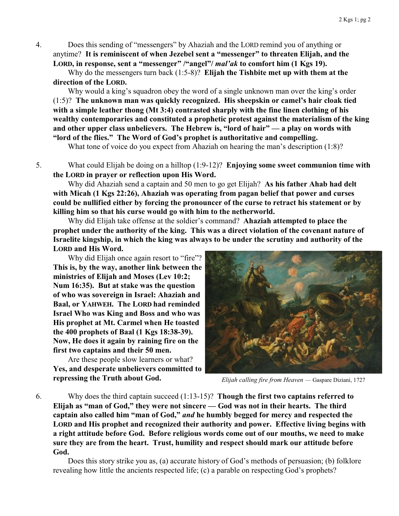4. Does this sending of "messengers" by Ahaziah and the LORD remind you of anything or anytime? **It is reminiscent of when Jezebel sent a "messenger" to threaten Elijah, and the LORD, in response, sent a "messenger" /"angel"/** *mal'ak* **to comfort him (1 Kgs 19).**

Why do the messengers turn back (1:5-8)? **Elijah the Tishbite met up with them at the direction of the LORD.**

Why would a king's squadron obey the word of a single unknown man over the king's order (1:5)? **The unknown man was quickly recognized. His sheepskin or camel's hair cloak tied with a simple leather thong (Mt 3:4) contrasted sharply with the fine linen clothing of his wealthy contemporaries and constituted a prophetic protest against the materialism of the king and other upper class unbelievers. The Hebrew is, "lord of hair" — a play on words with "lord of the flies." The Word of God's prophet is authoritative and compelling.**

What tone of voice do you expect from Ahaziah on hearing the man's description (1:8)?

5. What could Elijah be doing on a hilltop (1:9-12)? **Enjoying some sweet communion time with the LORD in prayer or reflection upon His Word.**

Why did Ahaziah send a captain and 50 men to go get Elijah? **As his father Ahab had delt with Micah (1 Kgs 22:26), Ahaziah was operating from pagan belief that power and curses could be nullified either by forcing the pronouncer of the curse to retract his statement or by killing him so that his curse would go with him to the netherworld.**

Why did Elijah take offense at the soldier's command? **Ahaziah attempted to place the prophet under the authority of the king. This was a direct violation of the covenant nature of Israelite kingship, in which the king was always to be under the scrutiny and authority of the LORD and His Word.**

Why did Elijah once again resort to "fire"? **This is, by the way, another link between the ministries of Elijah and Moses (Lev 10:2; Num 16:35). But at stake was the question of who was sovereign in Israel: Ahaziah and Baal, or YAHWEH. The LORD had reminded Israel Who was King and Boss and who was His prophet at Mt. Carmel when He toasted the 400 prophets of Baal (1 Kgs 18:38-39). Now, He does it again by raining fire on the first two captains and their 50 men.**

Are these people slow learners or what? **Yes, and desperate unbelievers committed to repressing the Truth about God.**



*Elijah calling fire from Heaven* — Gaspare Diziani, 1727

6. Why does the third captain succeed (1:13-15)? **Though the first two captains referred to Elijah as "man of God," they were not sincere — God was not in their hearts. The third captain also called him "man of God,"** *and* **he humbly begged for mercy and respected the LORD and His prophet and recognized their authority and power. Effective living begins with a right attitude before God. Before religious words come out of our mouths, we need to make sure they are from the heart. Trust, humility and respect should mark our attitude before God.**

Does this story strike you as, (a) accurate history of God's methods of persuasion; (b) folklore revealing how little the ancients respected life; (c) a parable on respecting God's prophets?